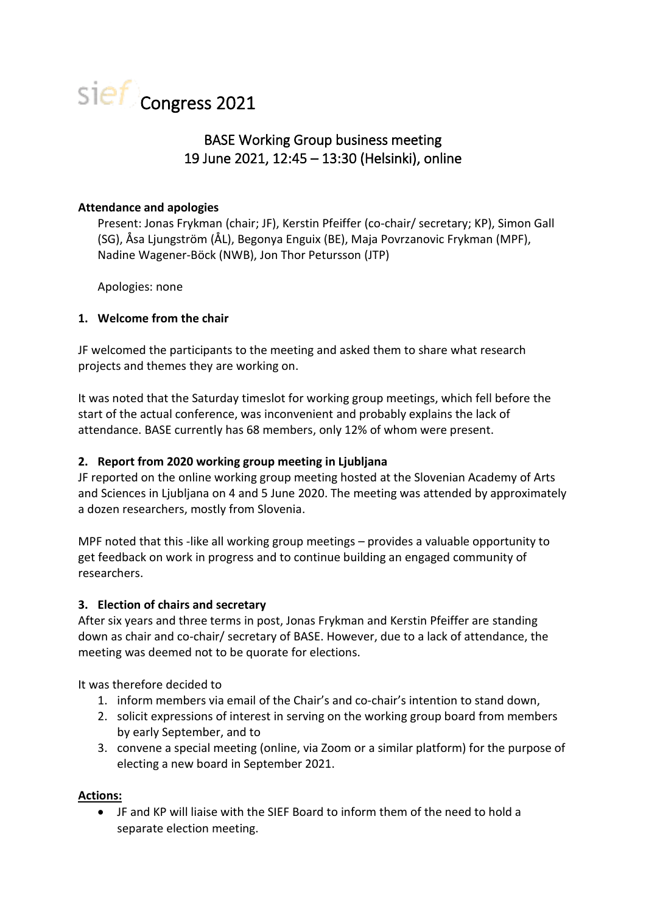

# BASE Working Group business meeting 19 June 2021, 12:45 – 13:30 (Helsinki), online

## **Attendance and apologies**

Present: Jonas Frykman (chair; JF), Kerstin Pfeiffer (co-chair/ secretary; KP), Simon Gall (SG), Åsa Ljungström (ÅL), Begonya Enguix (BE), Maja Povrzanovic Frykman (MPF), Nadine Wagener-Böck (NWB), Jon Thor Petursson (JTP)

Apologies: none

## **1. Welcome from the chair**

JF welcomed the participants to the meeting and asked them to share what research projects and themes they are working on.

It was noted that the Saturday timeslot for working group meetings, which fell before the start of the actual conference, was inconvenient and probably explains the lack of attendance. BASE currently has 68 members, only 12% of whom were present.

## **2. Report from 2020 working group meeting in Ljubljana**

JF reported on the online working group meeting hosted at the Slovenian Academy of Arts and Sciences in Ljubljana on 4 and 5 June 2020. The meeting was attended by approximately a dozen researchers, mostly from Slovenia.

MPF noted that this -like all working group meetings – provides a valuable opportunity to get feedback on work in progress and to continue building an engaged community of researchers.

#### **3. Election of chairs and secretary**

After six years and three terms in post, Jonas Frykman and Kerstin Pfeiffer are standing down as chair and co-chair/ secretary of BASE. However, due to a lack of attendance, the meeting was deemed not to be quorate for elections.

It was therefore decided to

- 1. inform members via email of the Chair's and co-chair's intention to stand down,
- 2. solicit expressions of interest in serving on the working group board from members by early September, and to
- 3. convene a special meeting (online, via Zoom or a similar platform) for the purpose of electing a new board in September 2021.

# **Actions:**

• JF and KP will liaise with the SIEF Board to inform them of the need to hold a separate election meeting.